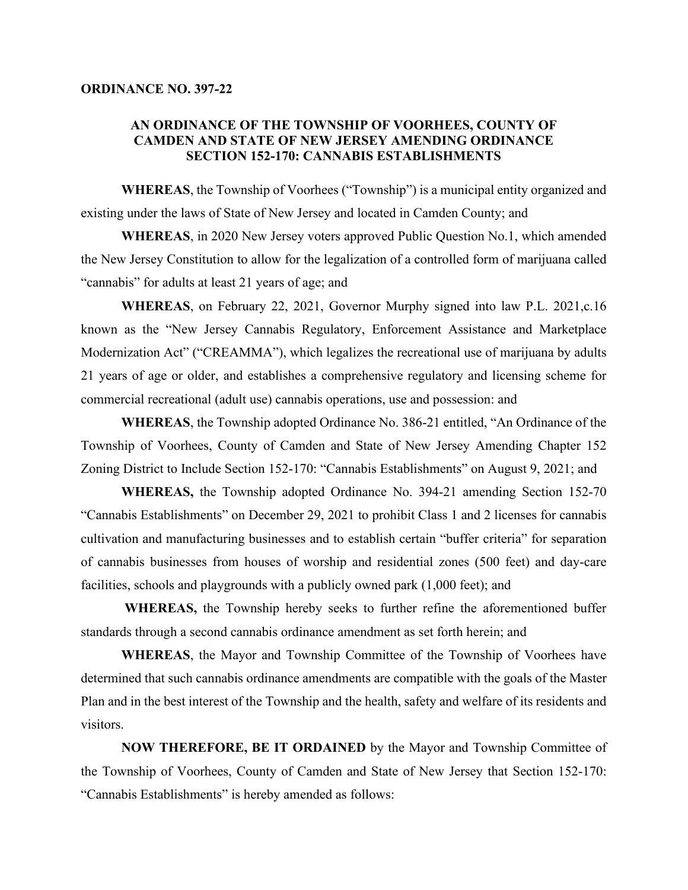## **ORDINANCE NO. 397-22**

## **AN ORDINANCE OF THE TOWNSHIP OF VOORHEES, COUNTY OF CAMDEN AND STATE OF NEW JERSEY AMENDING ORDINANCE SECTION 152-170: CANNABIS ESTABLISHMENTS**

**WHEREAS**, the Township of Voorhees ("Township") is a municipal entity organized and existing under the laws of State of New Jersey and located in Camden County; and

**WHEREAS**, in 2020 New Jersey voters approved Public Question No.1, which amended the New Jersey Constitution to allow for the legalization of a controlled form of marijuana called "cannabis" for adults at least 21 years of age; and

**WHEREAS**, on February 22, 2021, Governor Murphy signed into law P.L. 2021,c.16 known as the "New Jersey Cannabis Regulatory, Enforcement Assistance and Marketplace Modernization Act" ("CREAMMA"), which legalizes the recreational use of marijuana by adults 21 years of age or older, and establishes a comprehensive regulatory and licensing scheme for commercial recreational (adult use) cannabis operations, use and possession: and

**WHEREAS**, the Township adopted Ordinance No. 386-21 entitled, "An Ordinance of the Township of Voorhees, County of Camden and State of New Jersey Amending Chapter 152 Zoning District to Include Section 152-170: "Cannabis Establishments" on August 9, 2021; and

**WHEREAS,** the Township adopted Ordinance No. 394-21 amending Section 152-70 "Cannabis Establishments" on December 29, 2021 to prohibit Class 1 and 2 licenses for cannabis cultivation and manufacturing businesses and to establish certain "buffer criteria" for separation of cannabis businesses from houses of worship and residential zones (500 feet) and day-care facilities, schools and playgrounds with a publicly owned park (1,000 feet); and

**WHEREAS,** the Township hereby seeks to further refine the aforementioned buffer standards through a second cannabis ordinance amendment as set forth herein; and

**WHEREAS**, the Mayor and Township Committee of the Township of Voorhees have determined that such cannabis ordinance amendments are compatible with the goals of the Master Plan and in the best interest of the Township and the health, safety and welfare of its residents and visitors.

**NOW THEREFORE, BE IT ORDAINED** by the Mayor and Township Committee of the Township of Voorhees, County of Camden and State of New Jersey that Section 152-170: "Cannabis Establishments" is hereby amended as follows: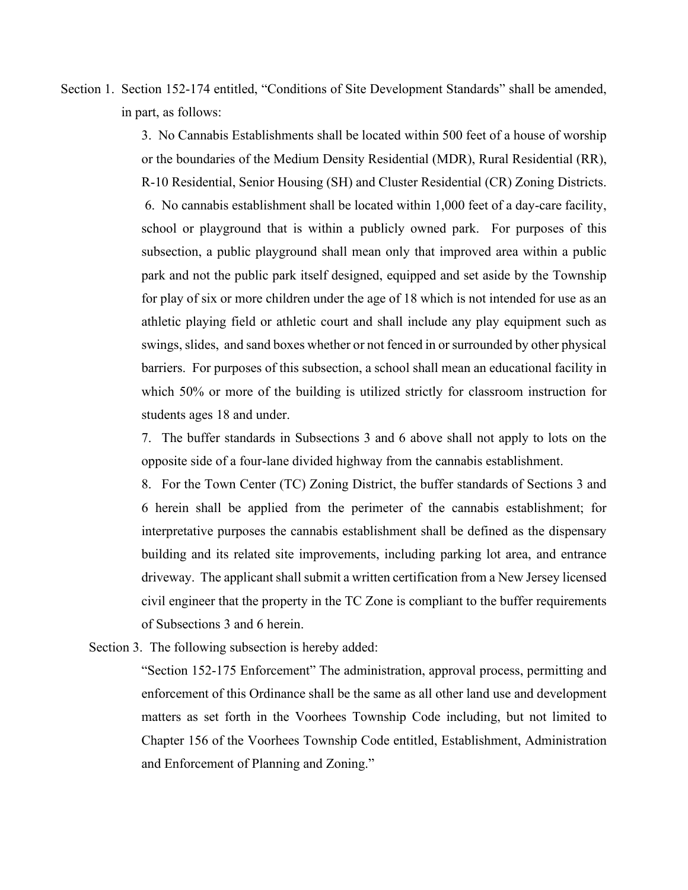Section 1. Section 152-174 entitled, "Conditions of Site Development Standards" shall be amended, in part, as follows:

> 3. No Cannabis Establishments shall be located within 500 feet of a house of worship or the boundaries of the Medium Density Residential (MDR), Rural Residential (RR), R-10 Residential, Senior Housing (SH) and Cluster Residential (CR) Zoning Districts. 6. No cannabis establishment shall be located within 1,000 feet of a day-care facility, school or playground that is within a publicly owned park. For purposes of this subsection, a public playground shall mean only that improved area within a public park and not the public park itself designed, equipped and set aside by the Township for play of six or more children under the age of 18 which is not intended for use as an athletic playing field or athletic court and shall include any play equipment such as swings, slides, and sand boxes whether or not fenced in or surrounded by other physical barriers. For purposes of this subsection, a school shall mean an educational facility in which 50% or more of the building is utilized strictly for classroom instruction for students ages 18 and under.

> 7. The buffer standards in Subsections 3 and 6 above shall not apply to lots on the opposite side of a four-lane divided highway from the cannabis establishment.

> 8. For the Town Center (TC) Zoning District, the buffer standards of Sections 3 and 6 herein shall be applied from the perimeter of the cannabis establishment; for interpretative purposes the cannabis establishment shall be defined as the dispensary building and its related site improvements, including parking lot area, and entrance driveway. The applicant shall submit a written certification from a New Jersey licensed civil engineer that the property in the TC Zone is compliant to the buffer requirements of Subsections 3 and 6 herein.

Section 3. The following subsection is hereby added:

"Section 152-175 Enforcement" The administration, approval process, permitting and enforcement of this Ordinance shall be the same as all other land use and development matters as set forth in the Voorhees Township Code including, but not limited to Chapter 156 of the Voorhees Township Code entitled, Establishment, Administration and Enforcement of Planning and Zoning."